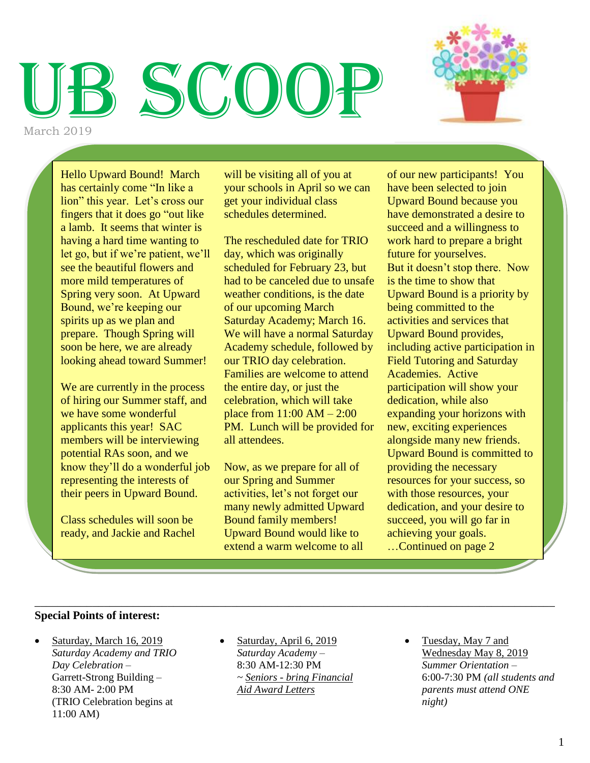# SCOO March 2019



Hello Upward Bound! March has certainly come "In like a lion" this year. Let's cross our fingers that it does go "out like a lamb. It seems that winter is having a hard time wanting to let go, but if we're patient, we'll see the beautiful flowers and more mild temperatures of Spring very soon. At Upward Bound, we're keeping our spirits up as we plan and prepare. Though Spring will soon be here, we are already looking ahead toward Summer!

We are currently in the process of hiring our Summer staff, and we have some wonderful applicants this year! SAC members will be interviewing potential RAs soon, and we know they'll do a wonderful job representing the interests of their peers in Upward Bound.

Class schedules will soon be ready, and Jackie and Rachel

will be visiting all of you at your schools in April so we can get your individual class schedules determined.

The rescheduled date for TRIO day, which was originally scheduled for February 23, but had to be canceled due to unsafe weather conditions, is the date of our upcoming March Saturday Academy; March 16. We will have a normal Saturday Academy schedule, followed by our TRIO day celebration. Families are welcome to attend the entire day, or just the celebration, which will take place from 11:00 AM – 2:00 PM. Lunch will be provided for all attendees.

Now, as we prepare for all of our Spring and Summer activities, let's not forget our many newly admitted Upward Bound family members! Upward Bound would like to extend a warm welcome to all

\_\_\_\_\_\_\_\_\_\_\_\_\_\_\_\_\_\_\_\_\_\_\_\_\_\_\_\_\_\_\_\_\_\_\_\_\_\_\_\_\_\_\_\_\_\_\_\_\_\_\_\_\_\_\_\_\_\_\_\_\_\_\_\_\_\_\_\_\_\_\_\_\_\_\_\_\_\_\_\_\_\_\_\_\_\_\_\_\_\_

of our new participants! You have been selected to join Upward Bound because you have demonstrated a desire to succeed and a willingness to work hard to prepare a bright future for yourselves. But it doesn't stop there. Now is the time to show that Upward Bound is a priority by being committed to the activities and services that Upward Bound provides, including active participation in Field Tutoring and Saturday Academies. Active participation will show your dedication, while also expanding your horizons with new, exciting experiences alongside many new friends. Upward Bound is committed to providing the necessary resources for your success, so with those resources, your dedication, and your desire to succeed, you will go far in achieving your goals. …Continued on page 2

#### **Special Points of interest:**

- Saturday, March 16, 2019 *Saturday Academy and TRIO Day Celebration –* Garrett-Strong Building – 8:30 AM- 2:00 PM (TRIO Celebration begins at 11:00 AM)
- Saturday, April 6, 2019 *Saturday Academy –*  8:30 AM-12:30 PM *~ Seniors - bring Financial Aid Award Letters*
- Tuesday, May 7 and Wednesday May 8, 2019 *Summer Orientation –* 6:00-7:30 PM *(all students and parents must attend ONE night)*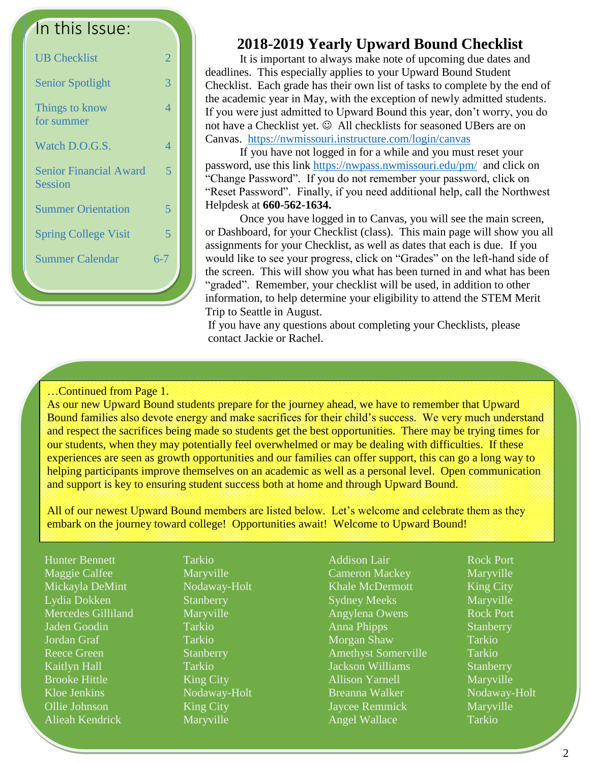| In this Issue:                                  |                |  |
|-------------------------------------------------|----------------|--|
| <b>UB Checklist</b>                             | $\overline{2}$ |  |
| <b>Senior Spotlight</b>                         | 3              |  |
| Things to know<br>for summer                    | 4              |  |
| Watch D.O.G.S.                                  | 4              |  |
| <b>Senior Financial Award</b><br><b>Session</b> | 5              |  |
| <b>Summer Orientation</b>                       | 5              |  |
| <b>Spring College Visit</b>                     | 5              |  |
| <b>Summer Calendar</b>                          | $6 - 7$        |  |
|                                                 |                |  |

## **2018-2019 Yearly Upward Bound Checklist**

It is important to always make note of upcoming due dates and deadlines. This especially applies to your Upward Bound Student Checklist. Each grade has their own list of tasks to complete by the end of the academic year in May, with the exception of newly admitted students. If you were just admitted to Upward Bound this year, don't worry, you do not have a Checklist yet.  $\odot$  All checklists for seasoned UBers are on Canvas. <https://nwmissouri.instructure.com/login/canvas>

If you have not logged in for a while and you must reset your password, use this link<https://nwpass.nwmissouri.edu/pm/>and click on "Change Password". If you do not remember your password, click on "Reset Password". Finally, if you need additional help, call the Northwest Helpdesk at **660-562-1634.**

Once you have logged in to Canvas, you will see the main screen, or Dashboard, for your Checklist (class). This main page will show you all assignments for your Checklist, as well as dates that each is due. If you would like to see your progress, click on "Grades" on the left-hand side of the screen. This will show you what has been turned in and what has been "graded". Remember, your checklist will be used, in addition to other information, to help determine your eligibility to attend the STEM Merit Trip to Seattle in August.

If you have any questions about completing your Checklists, please contact Jackie or Rachel.

#### …Continued from Page 1.

As our new Upward Bound students prepare for the journey ahead, we have to remember that Upward Bound families also devote energy and make sacrifices for their child's success. We very much understand and respect the sacrifices being made so students get the best opportunities. There may be trying times for our students, when they may potentially feel overwhelmed or may be dealing with difficulties. If these experiences are seen as growth opportunities and our families can offer support, this can go a long way to helping participants improve themselves on an academic as well as a personal level. Open communication and support is key to ensuring student success both at home and through Upward Bound.

All of our newest Upward Bound members are listed below. Let's welcome and celebrate them as they embark on the journey toward college! Opportunities await! Welcome to Upward Bound!

Hunter Bennett Tarkio Maggie Calfee Maryville Mickayla DeMint Nodaway-Holt Lydia Dokken Stanberry Mercedes Gilliland Maryville Jaden Goodin Tarkio Jordan Graf Tarkio Reece Green Stanberry Kaitlyn Hall Tarkio Brooke Hittle King City Kloe Jenkins Nodaway-Holt Ollie Johnson King City Alieah Kendrick Maryville

Addison Lair Rock Port Cameron Mackey Maryville Khale McDermott King City Sydney Meeks Maryville Angylena Owens Rock Port Anna Phipps Stanberry Morgan Shaw Tarkio Amethyst Somerville Tarkio **Jackson Williams** Stanberry Allison Yarnell Maryville Breanna Walker Nodaway-Holt Jaycee Remmick Maryville Angel Wallace Tarkio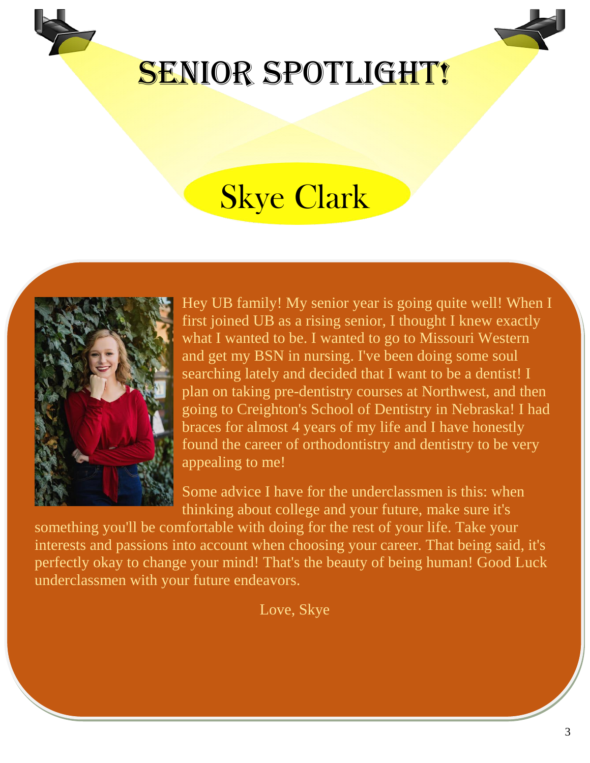

# SENIOR SPOTLIGHT!

# Skye Clark



Hey UB family! My senior year is going quite well! When I first joined UB as a rising senior, I thought I knew exactly what I wanted to be. I wanted to go to Missouri Western and get my BSN in nursing. I've been doing some soul searching lately and decided that I want to be a dentist! I plan on taking pre-dentistry courses at Northwest, and then going to Creighton's School of Dentistry in Nebraska! I had braces for almost 4 years of my life and I have honestly found the career of orthodontistry and dentistry to be very appealing to me!

Some advice I have for the underclassmen is this: when thinking about college and your future, make sure it's

something you'll be comfortable with doing for the rest of your life. Take your interests and passions into account when choosing your career. That being said, it's perfectly okay to change your mind! That's the beauty of being human! Good Luck underclassmen with your future endeavors.

Love, Skye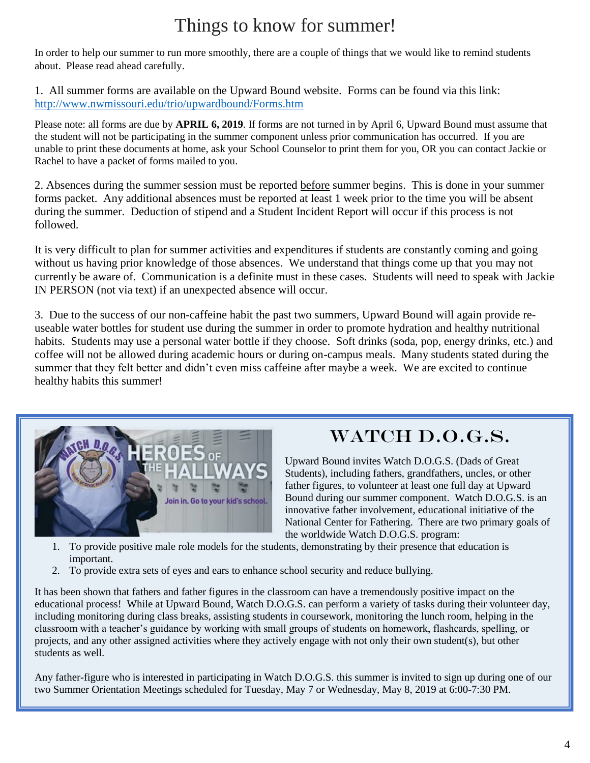# Things to know for summer!

In order to help our summer to run more smoothly, there are a couple of things that we would like to remind students about. Please read ahead carefully.

1. All summer forms are available on the Upward Bound website. Forms can be found via this link: <http://www.nwmissouri.edu/trio/upwardbound/Forms.htm>

Please note: all forms are due by **APRIL 6, 2019**. If forms are not turned in by April 6, Upward Bound must assume that the student will not be participating in the summer component unless prior communication has occurred. If you are unable to print these documents at home, ask your School Counselor to print them for you, OR you can contact Jackie or Rachel to have a packet of forms mailed to you.

2. Absences during the summer session must be reported before summer begins. This is done in your summer forms packet. Any additional absences must be reported at least 1 week prior to the time you will be absent during the summer. Deduction of stipend and a Student Incident Report will occur if this process is not followed.

It is very difficult to plan for summer activities and expenditures if students are constantly coming and going without us having prior knowledge of those absences. We understand that things come up that you may not currently be aware of. Communication is a definite must in these cases. Students will need to speak with Jackie IN PERSON (not via text) if an unexpected absence will occur.

3. Due to the success of our non-caffeine habit the past two summers, Upward Bound will again provide reuseable water bottles for student use during the summer in order to promote hydration and healthy nutritional habits. Students may use a personal water bottle if they choose. Soft drinks (soda, pop, energy drinks, etc.) and coffee will not be allowed during academic hours or during on-campus meals. Many students stated during the summer that they felt better and didn't even miss caffeine after maybe a week. We are excited to continue healthy habits this summer!



## WATCH D.O.G.S.

Upward Bound invites Watch D.O.G.S. (Dads of Great Students), including fathers, grandfathers, uncles, or other father figures, to volunteer at least one full day at Upward Bound during our summer component. Watch D.O.G.S. is an innovative father involvement, educational initiative of the National Center for Fathering. There are two primary goals of the worldwide Watch D.O.G.S. program:

- 1. To provide positive male role models for the students, demonstrating by their presence that education is important.
- 2. To provide extra sets of eyes and ears to enhance school security and reduce bullying.

It has been shown that fathers and father figures in the classroom can have a tremendously positive impact on the educational process! While at Upward Bound, Watch D.O.G.S. can perform a variety of tasks during their volunteer day, including monitoring during class breaks, assisting students in coursework, monitoring the lunch room, helping in the classroom with a teacher's guidance by working with small groups of students on homework, flashcards, spelling, or projects, and any other assigned activities where they actively engage with not only their own student(s), but other students as well.

Any father-figure who is interested in participating in Watch D.O.G.S. this summer is invited to sign up during one of our two Summer Orientation Meetings scheduled for Tuesday, May 7 or Wednesday, May 8, 2019 at 6:00-7:30 PM.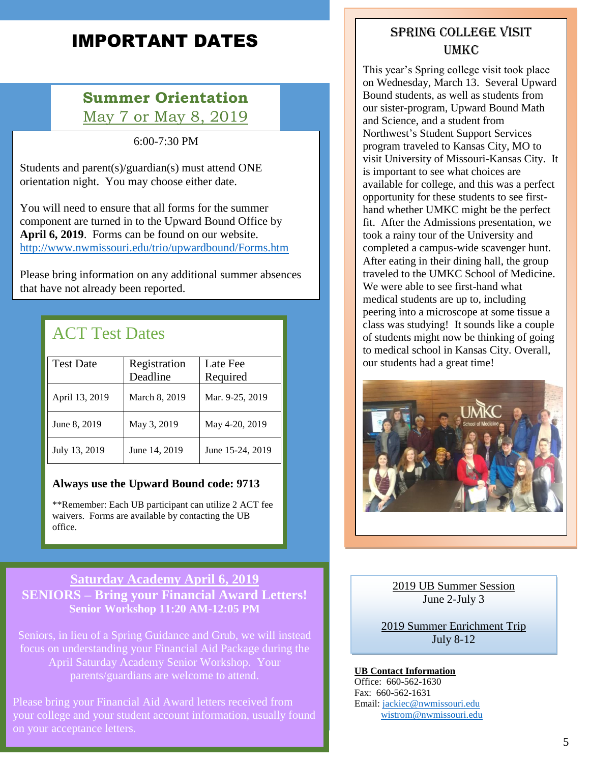## IMPORTANT DATES

## **Summer Orientation** May 7 or May 8, 2019

6:00-7:30 PM

Students and parent(s)/guardian(s) must attend ONE orientation night. You may choose either date.

You will need to ensure that all forms for the summer component are turned in to the Upward Bound Office by **April 6, 2019**. Forms can be found on our website. <http://www.nwmissouri.edu/trio/upwardbound/Forms.htm>

Please bring information on any additional summer absences that have not already been reported.

## ACT Test Dates

| <b>Test Date</b> | Registration<br>Deadline | Late Fee<br>Required |
|------------------|--------------------------|----------------------|
| April 13, 2019   | March 8, 2019            | Mar. 9-25, 2019      |
| June 8, 2019     | May 3, 2019              | May 4-20, 2019       |
| July 13, 2019    | June 14, 2019            | June 15-24, 2019     |

#### **Always use the Upward Bound code: 9713**

For more information go to http://www.actstudent.org

\*\*Remember: Each UB participant can utilize 2 ACT fee waivers. Forms are available by contacting the UB office.

#### **Saturday Academy April 6, 2019 SENIORS – Bring your Financial Award Letters! Senior Workshop 11:20 AM-12:05 PM**

Seniors, in lieu of a Spring Guidance and Grub, we will instead focus on understanding your Financial Aid Package during the April Saturday Academy Senior Workshop. Your parents/guardians are welcome to attend.

Please bring your Financial Aid Award letters received from your college and your student account information, usually found on your acceptance letters.

### Spring College Visit UMKC

This year's Spring college visit took place on Wednesday, March 13. Several Upward Bound students, as well as students from our sister-program, Upward Bound Math and Science, and a student from Northwest's Student Support Services program traveled to Kansas City, MO to visit University of Missouri-Kansas City. It is important to see what choices are available for college, and this was a perfect opportunity for these students to see firsthand whether UMKC might be the perfect fit. After the Admissions presentation, we took a rainy tour of the University and completed a campus-wide scavenger hunt. After eating in their dining hall, the group traveled to the UMKC School of Medicine. We were able to see first-hand what medical students are up to, including peering into a microscope at some tissue a class was studying! It sounds like a couple of students might now be thinking of going to medical school in Kansas City. Overall, our students had a great time!



2019 UB Summer Session June 2-July 3

2019 Summer Enrichment Trip July 8-12

#### **UB Contact Information**

Office: 660-562-1630 Fax: 660-562-1631 Email: [jackiec@nwmissouri.edu](mailto:jackiec@nwmissouri.edu) [wistrom@nwmissouri.edu](mailto:wistrom@nwmissouri.edu)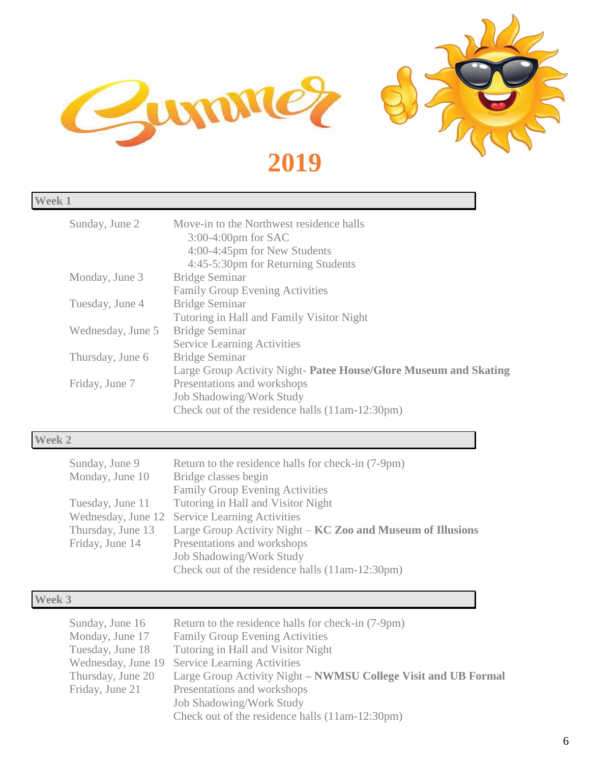

## **Week 1**

| Sunday, June 2    | Move-in to the Northwest residence halls<br>$3:00-4:00$ pm for SAC<br>4:00-4:45pm for New Students |
|-------------------|----------------------------------------------------------------------------------------------------|
|                   | 4:45-5:30pm for Returning Students                                                                 |
| Monday, June 3    | <b>Bridge Seminar</b>                                                                              |
|                   | <b>Family Group Evening Activities</b>                                                             |
| Tuesday, June 4   | <b>Bridge Seminar</b>                                                                              |
|                   | Tutoring in Hall and Family Visitor Night                                                          |
| Wednesday, June 5 | Bridge Seminar                                                                                     |
|                   | <b>Service Learning Activities</b>                                                                 |
| Thursday, June 6  | <b>Bridge Seminar</b>                                                                              |
|                   | Large Group Activity Night- Patee House/Glore Museum and Skating                                   |
| Friday, June 7    | Presentations and workshops                                                                        |
|                   | <b>Job Shadowing/Work Study</b>                                                                    |
|                   | Check out of the residence halls (11am-12:30pm)                                                    |

## **Week 2**

| Sunday, June 9     | Return to the residence halls for check-in (7-9pm)          |
|--------------------|-------------------------------------------------------------|
| Monday, June 10    | Bridge classes begin                                        |
|                    | <b>Family Group Evening Activities</b>                      |
| Tuesday, June 11   | Tutoring in Hall and Visitor Night                          |
| Wednesday, June 12 | <b>Service Learning Activities</b>                          |
| Thursday, June 13  | Large Group Activity Night – KC Zoo and Museum of Illusions |
| Friday, June 14    | Presentations and workshops                                 |
|                    | Job Shadowing/Work Study                                    |
|                    | Check out of the residence halls (11am-12:30pm)             |

### **Week 3**

| Sunday, June 16   | Return to the residence halls for check-in (7-9pm)             |
|-------------------|----------------------------------------------------------------|
| Monday, June 17   | <b>Family Group Evening Activities</b>                         |
| Tuesday, June 18  | Tutoring in Hall and Visitor Night                             |
|                   | Wednesday, June 19 Service Learning Activities                 |
| Thursday, June 20 | Large Group Activity Night - NWMSU College Visit and UB Formal |
| Friday, June 21   | Presentations and workshops                                    |
|                   | <b>Job Shadowing/Work Study</b>                                |
|                   | Check out of the residence halls (11am-12:30pm)                |
|                   |                                                                |